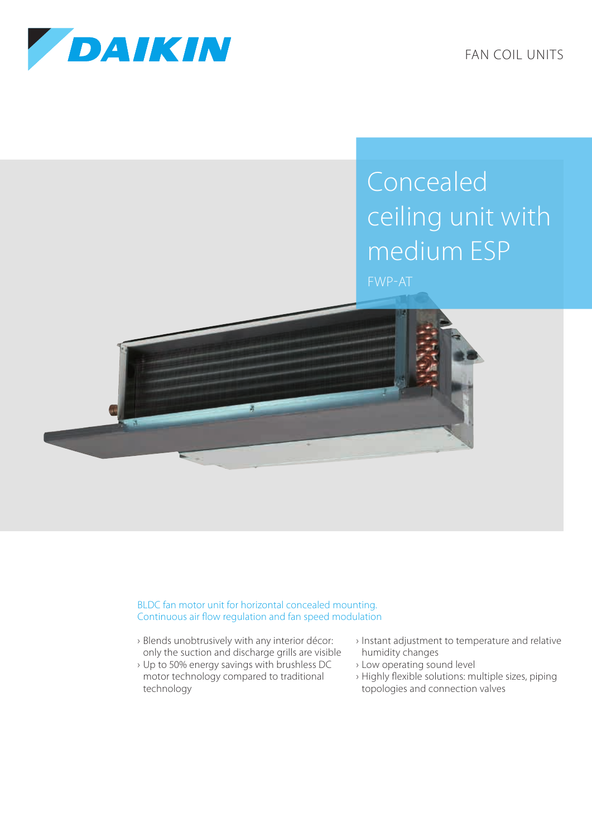

FAN COIL UNITS

## Concealed ceiling unit with medium ESP FWP-AT



BLDC fan motor unit for horizontal concealed mounting. Continuous air flow regulation and fan speed modulation

- › Blends unobtrusively with any interior décor: only the suction and discharge grills are visible
- › Up to 50% energy savings with brushless DC motor technology compared to traditional technology
- › Instant adjustment to temperature and relative humidity changes
- › Low operating sound level
- › Highly flexible solutions: multiple sizes, piping topologies and connection valves